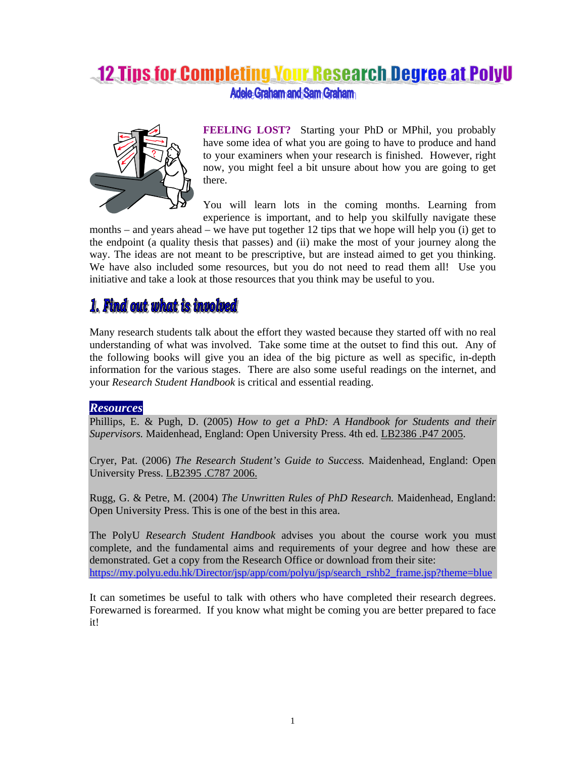# **12 Tips for Completing Your Research Degree at PolyU**

Adele Graham and Sam Graham



**FEELING LOST?** Starting your PhD or MPhil, you probably have some idea of what you are going to have to produce and hand to your examiners when your research is finished. However, right now, you might feel a bit unsure about how you are going to get there.

You will learn lots in the coming months. Learning from experience is important, and to help you skilfully navigate these

months – and years ahead – we have put together 12 tips that we hope will help you (i) get to the endpoint (a quality thesis that passes) and (ii) make the most of your journey along the way. The ideas are not meant to be prescriptive, but are instead aimed to get you thinking. We have also included some resources, but you do not need to read them all! Use you initiative and take a look at those resources that you think may be useful to you.

## 1. Find out what is involved

Many research students talk about the effort they wasted because they started off with no real understanding of what was involved. Take some time at the outset to find this out. Any of the following books will give you an idea of the big picture as well as specific, in-depth information for the various stages. There are also some useful readings on the internet, and your *Research Student Handbook* is critical and essential reading.

#### *Resources*

Phillips, E. & Pugh, D. (2005) *How to get a PhD: A Handbook for Students and their Supervisors.* Maidenhead, England: Open University Press. 4th ed. LB2386 .P47 2005.

Cryer, Pat. (2006) *The Research Student's Guide to Success.* Maidenhead, England: Open University Press. LB2395 .C787 2006.

Rugg, G. & Petre, M. (2004) *The Unwritten Rules of PhD Research.* Maidenhead, England: Open University Press. This is one of the best in this area.

The PolyU *Research Student Handbook* advises you about the course work you must complete, and the fundamental aims and requirements of your degree and how these are demonstrated. Get a copy from the Research Office or download from their site: https://my.polyu.edu.hk/Director/jsp/app/com/polyu/jsp/search\_rshb2\_frame.jsp?theme=blue

It can sometimes be useful to talk with others who have completed their research degrees. Forewarned is forearmed. If you know what might be coming you are better prepared to face it!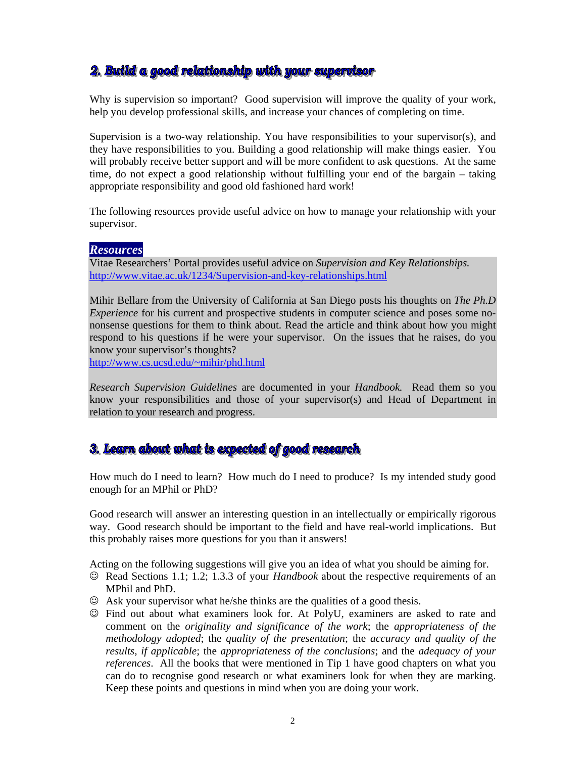## 2. Build a good relationship with your supervisor

Why is supervision so important? Good supervision will improve the quality of your work, help you develop professional skills, and increase your chances of completing on time.

Supervision is a two-way relationship. You have responsibilities to your supervisor(s), and they have responsibilities to you. Building a good relationship will make things easier. You will probably receive better support and will be more confident to ask questions. At the same time, do not expect a good relationship without fulfilling your end of the bargain – taking appropriate responsibility and good old fashioned hard work!

The following resources provide useful advice on how to manage your relationship with your supervisor.

#### *Resources*

Vitae Researchers' Portal provides useful advice on *Supervision and Key Relationships.* http://www.vitae.ac.uk/1234/Supervision-and-key-relationships.html

Mihir Bellare from the University of California at San Diego posts his thoughts on *The Ph.D Experience* for his current and prospective students in computer science and poses some nononsense questions for them to think about. Read the article and think about how you might respond to his questions if he were your supervisor. On the issues that he raises, do you know your supervisor's thoughts?

http://www.cs.ucsd.edu/~mihir/phd.html

*Research Supervision Guidelines* are documented in your *Handbook.* Read them so you know your responsibilities and those of your supervisor(s) and Head of Department in relation to your research and progress.

### 3. Learn about what is expected of good research

How much do I need to learn? How much do I need to produce? Is my intended study good enough for an MPhil or PhD?

Good research will answer an interesting question in an intellectually or empirically rigorous way. Good research should be important to the field and have real-world implications. But this probably raises more questions for you than it answers!

Acting on the following suggestions will give you an idea of what you should be aiming for.

- ☺ Read Sections 1.1; 1.2; 1.3.3 of your *Handbook* about the respective requirements of an MPhil and PhD.
- $\odot$  Ask your supervisor what he/she thinks are the qualities of a good thesis.
- ☺ Find out about what examiners look for. At PolyU, examiners are asked to rate and comment on the *originality and significance of the work*; the *appropriateness of the methodology adopted*; the *quality of the presentation*; the *accuracy and quality of the results, if applicable*; the *appropriateness of the conclusions*; and the *adequacy of your references*. All the books that were mentioned in Tip 1 have good chapters on what you can do to recognise good research or what examiners look for when they are marking. Keep these points and questions in mind when you are doing your work.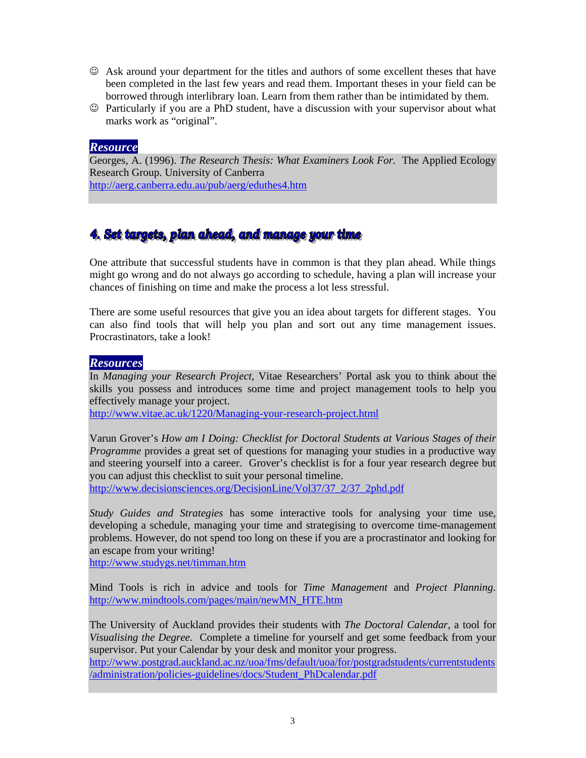- ☺ Ask around your department for the titles and authors of some excellent theses that have been completed in the last few years and read them. Important theses in your field can be borrowed through interlibrary loan. Learn from them rather than be intimidated by them.
- ☺ Particularly if you are a PhD student, have a discussion with your supervisor about what marks work as "original".

#### *Resource*

Georges, A. (1996). *The Research Thesis: What Examiners Look For.* The Applied Ecology Research Group. University of Canberra http://aerg.canberra.edu.au/pub/aerg/eduthes4.htm

## 4. Set targets, plan ahead, and manage your time

One attribute that successful students have in common is that they plan ahead. While things might go wrong and do not always go according to schedule, having a plan will increase your chances of finishing on time and make the process a lot less stressful.

There are some useful resources that give you an idea about targets for different stages. You can also find tools that will help you plan and sort out any time management issues. Procrastinators, take a look!

#### *Resources*

In *Managing your Research Project,* Vitae Researchers' Portal ask you to think about the skills you possess and introduces some time and project management tools to help you effectively manage your project.

http://www.vitae.ac.uk/1220/Managing-your-research-project.html

Varun Grover's *How am I Doing: Checklist for Doctoral Students at Various Stages of their Programme* provides a great set of questions for managing your studies in a productive way and steering yourself into a career. Grover's checklist is for a four year research degree but you can adjust this checklist to suit your personal timeline.

http://www.decisionsciences.org/DecisionLine/Vol37/37\_2/37\_2phd.pdf

*Study Guides and Strategies* has some interactive tools for analysing your time use, developing a schedule, managing your time and strategising to overcome time-management problems. However, do not spend too long on these if you are a procrastinator and looking for an escape from your writing!

http://www.studygs.net/timman.htm

Mind Tools is rich in advice and tools for *Time Management* and *Project Planning.* http://www.mindtools.com/pages/main/newMN\_HTE.htm

The University of Auckland provides their students with *The Doctoral Calendar*, a tool for *Visualising the Degree.* Complete a timeline for yourself and get some feedback from your supervisor. Put your Calendar by your desk and monitor your progress.

http://www.postgrad.auckland.ac.nz/uoa/fms/default/uoa/for/postgradstudents/currentstudents /administration/policies-guidelines/docs/Student\_PhDcalendar.pdf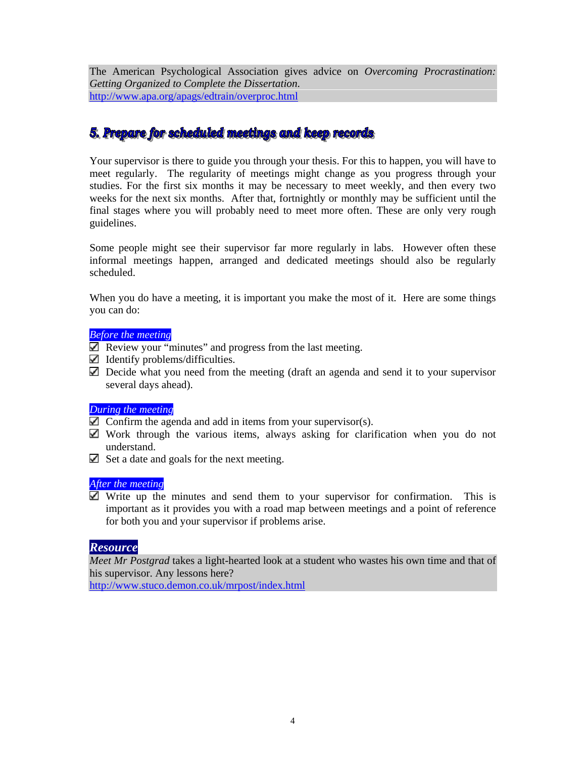The American Psychological Association gives advice on *Overcoming Procrastination: Getting Organized to Complete the Dissertation*. http://www.apa.org/apags/edtrain/overproc.html

## 5. Prepare for scheduled meetings and keep records

Your supervisor is there to guide you through your thesis. For this to happen, you will have to meet regularly. The regularity of meetings might change as you progress through your studies. For the first six months it may be necessary to meet weekly, and then every two weeks for the next six months. After that, fortnightly or monthly may be sufficient until the final stages where you will probably need to meet more often. These are only very rough guidelines.

Some people might see their supervisor far more regularly in labs. However often these informal meetings happen, arranged and dedicated meetings should also be regularly scheduled.

When you do have a meeting, it is important you make the most of it. Here are some things you can do:

#### *Before the meeting*

- $\Box$  Review your "minutes" and progress from the last meeting.
- $\blacksquare$  Identify problems/difficulties.
- Decide what you need from the meeting (draft an agenda and send it to your supervisor several days ahead).

#### *During the meeting*

- $\Box$  Confirm the agenda and add in items from your supervisor(s).
- $\Box$  Work through the various items, always asking for clarification when you do not understand.
- $\Box$  Set a date and goals for the next meeting.

#### *After the meeting*

Write up the minutes and send them to your supervisor for confirmation. This is important as it provides you with a road map between meetings and a point of reference for both you and your supervisor if problems arise.

#### *Resource*

*Meet Mr Postgrad* takes a light-hearted look at a student who wastes his own time and that of his supervisor. Any lessons here?

http://www.stuco.demon.co.uk/mrpost/index.html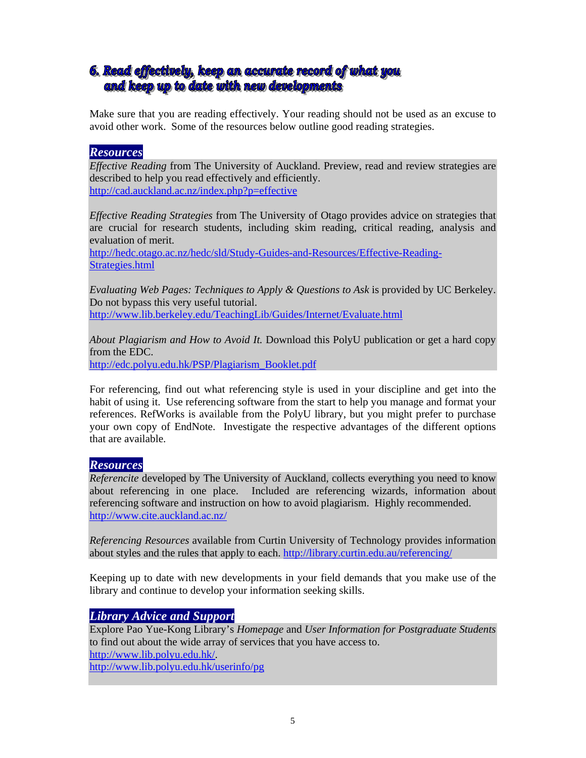## 6. Read effectively, keep an accurate record of what you and keep up to date with new developments

Make sure that you are reading effectively. Your reading should not be used as an excuse to avoid other work. Some of the resources below outline good reading strategies.

#### *Resources*

*Effective Reading* from The University of Auckland. Preview, read and review strategies are described to help you read effectively and efficiently. http://cad.auckland.ac.nz/index.php?p=effective

*Effective Reading Strategies* from The University of Otago provides advice on strategies that are crucial for research students, including skim reading, critical reading, analysis and evaluation of merit.

http://hedc.otago.ac.nz/hedc/sld/Study-Guides-and-Resources/Effective-Reading-Strategies.html

*Evaluating Web Pages: Techniques to Apply & Questions to Ask* is provided by UC Berkeley. Do not bypass this very useful tutorial. http://www.lib.berkeley.edu/TeachingLib/Guides/Internet/Evaluate.html

*About Plagiarism and How to Avoid It.* Download this PolyU publication or get a hard copy from the EDC. http://edc.polyu.edu.hk/PSP/Plagiarism\_Booklet.pdf

For referencing, find out what referencing style is used in your discipline and get into the habit of using it. Use referencing software from the start to help you manage and format your references. RefWorks is available from the PolyU library, but you might prefer to purchase your own copy of EndNote. Investigate the respective advantages of the different options that are available.

#### *Resources*

*Referencite* developed by The University of Auckland, collects everything you need to know about referencing in one place. Included are referencing wizards, information about referencing software and instruction on how to avoid plagiarism. Highly recommended. http://www.cite.auckland.ac.nz/

*Referencing Resources* available from Curtin University of Technology provides information about styles and the rules that apply to each. http://library.curtin.edu.au/referencing/

Keeping up to date with new developments in your field demands that you make use of the library and continue to develop your information seeking skills.

#### *Library Advice and Support*

Explore Pao Yue-Kong Library's *Homepage* and *User Information for Postgraduate Students* to find out about the wide array of services that you have access to. http://www.lib.polyu.edu.hk/. http://www.lib.polyu.edu.hk/userinfo/pg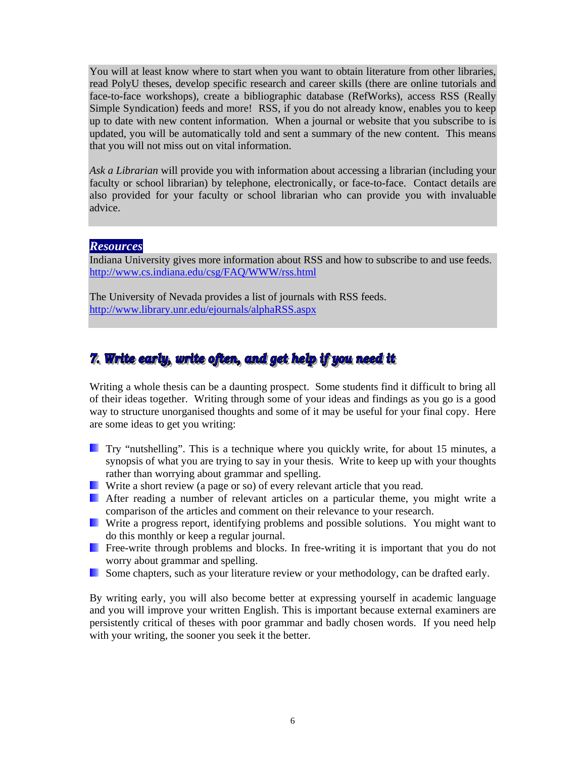You will at least know where to start when you want to obtain literature from other libraries, read PolyU theses, develop specific research and career skills (there are online tutorials and face-to-face workshops), create a bibliographic database (RefWorks), access RSS (Really Simple Syndication) feeds and more! RSS, if you do not already know, enables you to keep up to date with new content information. When a journal or website that you subscribe to is updated, you will be automatically told and sent a summary of the new content. This means that you will not miss out on vital information.

*Ask a Librarian* will provide you with information about accessing a librarian (including your faculty or school librarian) by telephone, electronically, or face-to-face. Contact details are also provided for your faculty or school librarian who can provide you with invaluable advice.

#### *Resources*

Indiana University gives more information about RSS and how to subscribe to and use feeds. http://www.cs.indiana.edu/csg/FAQ/WWW/rss.html

The University of Nevada provides a list of journals with RSS feeds. http://www.library.unr.edu/ejournals/alphaRSS.aspx

## 7. Write early, write often, and get help if you need it

Writing a whole thesis can be a daunting prospect. Some students find it difficult to bring all of their ideas together. Writing through some of your ideas and findings as you go is a good way to structure unorganised thoughts and some of it may be useful for your final copy. Here are some ideas to get you writing:

- $\Box$  Try "nutshelling". This is a technique where you quickly write, for about 15 minutes, a synopsis of what you are trying to say in your thesis. Write to keep up with your thoughts rather than worrying about grammar and spelling.
- **Write a short review (a page or so) of every relevant article that you read.**
- After reading a number of relevant articles on a particular theme, you might write a comparison of the articles and comment on their relevance to your research.
- **E** Write a progress report, identifying problems and possible solutions. You might want to do this monthly or keep a regular journal.
- **Free-write through problems and blocks. In free-writing it is important that you do not** worry about grammar and spelling.
- Some chapters, such as your literature review or your methodology, can be drafted early.

By writing early, you will also become better at expressing yourself in academic language and you will improve your written English. This is important because external examiners are persistently critical of theses with poor grammar and badly chosen words. If you need help with your writing, the sooner you seek it the better.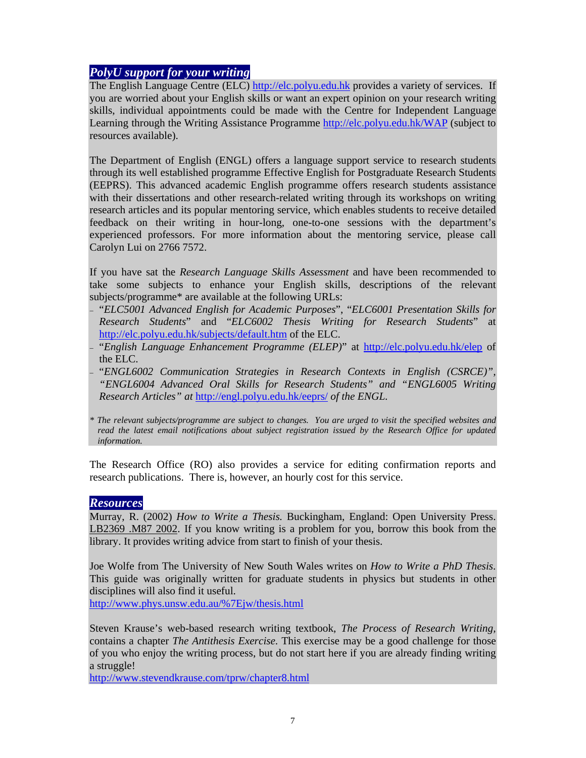### *PolyU support for your writing*

The English Language Centre (ELC) http://elc.polyu.edu.hk provides a variety of services. If you are worried about your English skills or want an expert opinion on your research writing skills, individual appointments could be made with the Centre for Independent Language Learning through the Writing Assistance Programme http://elc.polyu.edu.hk/WAP (subject to resources available).

The Department of English (ENGL) offers a language support service to research students through its well established programme Effective English for Postgraduate Research Students (EEPRS). This advanced academic English programme offers research students assistance with their dissertations and other research-related writing through its workshops on writing research articles and its popular mentoring service, which enables students to receive detailed feedback on their writing in hour-long, one-to-one sessions with the department's experienced professors. For more information about the mentoring service, please call Carolyn Lui on 2766 7572.

If you have sat the *Research Language Skills Assessment* and have been recommended to take some subjects to enhance your English skills, descriptions of the relevant subjects/programme\* are available at the following URLs:

- <sup>−</sup> "*ELC5001 Advanced English for Academic Purposes*", "*ELC6001 Presentation Skills for Research Students*" and "*ELC6002 Thesis Writing for Research Students*" at http://elc.polyu.edu.hk/subjects/default.htm of the ELC.
- <sup>−</sup> "*English Language Enhancement Programme (ELEP)*" at http://elc.polyu.edu.hk/elep of the ELC.
- <sup>−</sup> "*ENGL6002 Communication Strategies in Research Contexts in English (CSRCE)", "ENGL6004 Advanced Oral Skills for Research Students" and "ENGL6005 Writing Research Articles" at* http://engl.polyu.edu.hk/eeprs/ *of the ENGL.*
- *\* The relevant subjects/programme are subject to changes. You are urged to visit the specified websites and read the latest email notifications about subject registration issued by the Research Office for updated information.*

The Research Office (RO) also provides a service for editing confirmation reports and research publications. There is, however, an hourly cost for this service.

#### *Resources*

Murray, R. (2002) *How to Write a Thesis.* Buckingham, England: Open University Press. LB2369 .M87 2002. If you know writing is a problem for you, borrow this book from the library. It provides writing advice from start to finish of your thesis.

Joe Wolfe from The University of New South Wales writes on *How to Write a PhD Thesis*. This guide was originally written for graduate students in physics but students in other disciplines will also find it useful.

http://www.phys.unsw.edu.au/%7Ejw/thesis.html

Steven Krause's web-based research writing textbook, *The Process of Research Writing,*  contains a chapter *The Antithesis Exercise*. This exercise may be a good challenge for those of you who enjoy the writing process, but do not start here if you are already finding writing a struggle!

http://www.stevendkrause.com/tprw/chapter8.html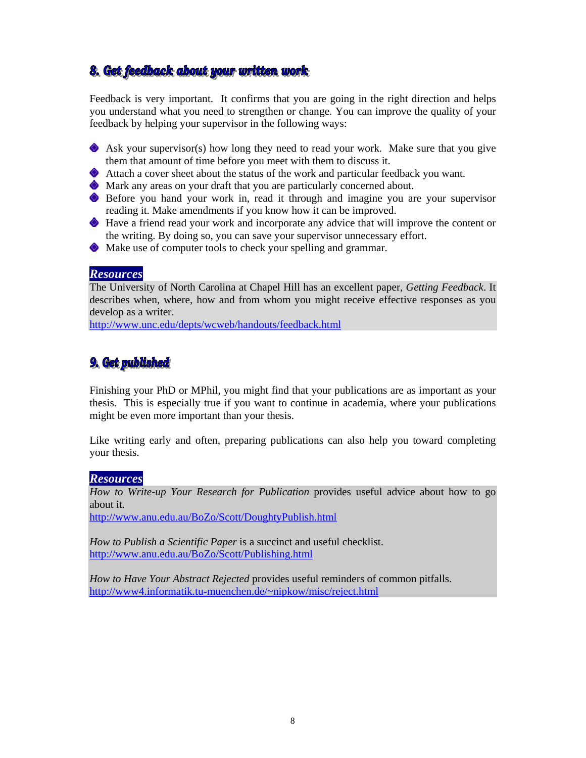## 8. Get feedback about your written work

Feedback is very important. It confirms that you are going in the right direction and helps you understand what you need to strengthen or change. You can improve the quality of your feedback by helping your supervisor in the following ways:

- Ask your supervisor(s) how long they need to read your work. Make sure that you give them that amount of time before you meet with them to discuss it.
- Attach a cover sheet about the status of the work and particular feedback you want.
- Mark any areas on your draft that you are particularly concerned about.
- Before you hand your work in, read it through and imagine you are your supervisor reading it. Make amendments if you know how it can be improved.
- Have a friend read your work and incorporate any advice that will improve the content or the writing. By doing so, you can save your supervisor unnecessary effort.
- Make use of computer tools to check your spelling and grammar.

#### *Resources*

The University of North Carolina at Chapel Hill has an excellent paper, *Getting Feedback*. It describes when, where, how and from whom you might receive effective responses as you develop as a writer.

http://www.unc.edu/depts/wcweb/handouts/feedback.html

### 9. Get published

Finishing your PhD or MPhil, you might find that your publications are as important as your thesis. This is especially true if you want to continue in academia, where your publications might be even more important than your thesis.

Like writing early and often, preparing publications can also help you toward completing your thesis.

#### *Resources*

*How to Write-up Your Research for Publication* provides useful advice about how to go about it.

http://www.anu.edu.au/BoZo/Scott/DoughtyPublish.html

*How to Publish a Scientific Paper* is a succinct and useful checklist. http://www.anu.edu.au/BoZo/Scott/Publishing.html

*How to Have Your Abstract Rejected* provides useful reminders of common pitfalls. http://www4.informatik.tu-muenchen.de/~nipkow/misc/reject.html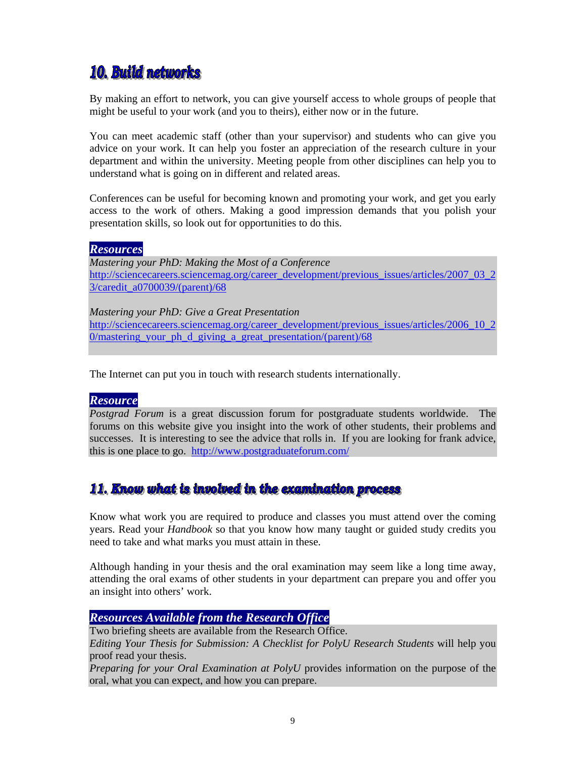## 10. Build networks

By making an effort to network, you can give yourself access to whole groups of people that might be useful to your work (and you to theirs), either now or in the future.

You can meet academic staff (other than your supervisor) and students who can give you advice on your work. It can help you foster an appreciation of the research culture in your department and within the university. Meeting people from other disciplines can help you to understand what is going on in different and related areas.

Conferences can be useful for becoming known and promoting your work, and get you early access to the work of others. Making a good impression demands that you polish your presentation skills, so look out for opportunities to do this.

#### *Resources*

*Mastering your PhD: Making the Most of a Conference*  http://sciencecareers.sciencemag.org/career\_development/previous\_issues/articles/2007\_03\_2 3/caredit\_a0700039/(parent)/68

*Mastering your PhD: Give a Great Presentation*  http://sciencecareers.sciencemag.org/career\_development/previous\_issues/articles/2006\_10\_2 0/mastering\_your\_ph\_d\_giving\_a\_great\_presentation/(parent)/68

The Internet can put you in touch with research students internationally.

#### *Resource*

*Postgrad Forum* is a great discussion forum for postgraduate students worldwide. The forums on this website give you insight into the work of other students, their problems and successes. It is interesting to see the advice that rolls in. If you are looking for frank advice, this is one place to go. http://www.postgraduateforum.com/

#### 11. Know what is involved in the examination process

Know what work you are required to produce and classes you must attend over the coming years. Read your *Handbook* so that you know how many taught or guided study credits you need to take and what marks you must attain in these.

Although handing in your thesis and the oral examination may seem like a long time away, attending the oral exams of other students in your department can prepare you and offer you an insight into others' work.

#### *Resources Available from the Research Office*

Two briefing sheets are available from the Research Office.

*Editing Your Thesis for Submission: A Checklist for PolyU Research Students* will help you proof read your thesis.

*Preparing for your Oral Examination at PolyU* provides information on the purpose of the oral, what you can expect, and how you can prepare.